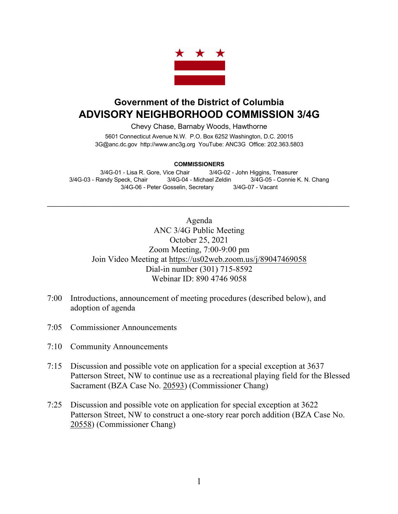

## **Government of the District of Columbia ADVISORY NEIGHBORHOOD COMMISSION 3/4G**

Chevy Chase, Barnaby Woods, Hawthorne 5601 Connecticut Avenue N.W. P.O. Box 6252 Washington, D.C. 20015 3G@anc.dc.gov http://www.anc3g.org YouTube: ANC3G Office: 202.363.5803

## **COMMISSIONERS**

3/4G-01 - Lisa R. Gore, Vice Chair 3/4G-02 - John Higgins, Treasurer 3/4G-03 - Randy Speck, Chair 3/4G-04 - Michael Zeldin 3/4G-05 - Connie K. N. Chang 3/4G-06 - Peter Gosselin, Secretary 3/4G-07 - Vacant

 $\mathcal{L}_\text{max}$  , and the contribution of the contribution of the contribution of the contribution of the contribution of the contribution of the contribution of the contribution of the contribution of the contribution of t

Agenda ANC 3/4G Public Meeting October 25, 2021 Zoom Meeting, 7:00-9:00 pm Join Video Meeting at https://us02web.zoom.us/j/89047469058 Dial-in number (301) 715-8592 Webinar ID: 890 4746 9058

- 7:00 Introductions, announcement of meeting procedures (described below), and adoption of agenda
- 7:05 Commissioner Announcements
- 7:10 Community Announcements
- 7:15 Discussion and possible vote on application for a special exception at 3637 Patterson Street, NW to continue use as a recreational playing field for the Blessed Sacrament (BZA Case No. 20593) (Commissioner Chang)
- 7:25 Discussion and possible vote on application for special exception at 3622 Patterson Street, NW to construct a one-story rear porch addition (BZA Case No. 20558) (Commissioner Chang)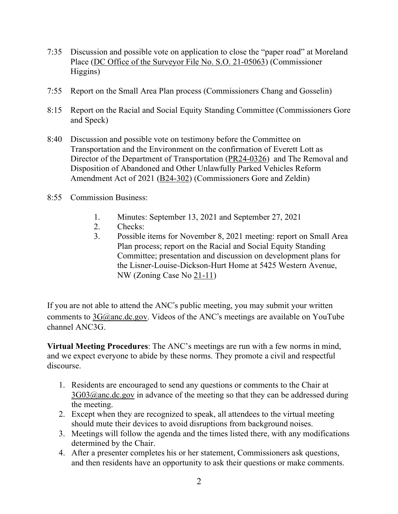- 7:35 Discussion and possible vote on application to close the "paper road" at Moreland Place (DC Office of the Surveyor File No. S.O. 21-05063) (Commissioner Higgins)
- 7:55 Report on the Small Area Plan process (Commissioners Chang and Gosselin)
- 8:15 Report on the Racial and Social Equity Standing Committee (Commissioners Gore and Speck)
- 8:40 Discussion and possible vote on testimony before the Committee on Transportation and the Environment on the confirmation of Everett Lott as Director of the Department of Transportation (PR24-0326) and The Removal and Disposition of Abandoned and Other Unlawfully Parked Vehicles Reform Amendment Act of 2021 (B24-302) (Commissioners Gore and Zeldin)
- 8:55 Commission Business:
	- 1. Minutes: September 13, 2021 and September 27, 2021
	- 2. Checks:
	- 3. Possible items for November 8, 2021 meeting: report on Small Area Plan process; report on the Racial and Social Equity Standing Committee; presentation and discussion on development plans for the Lisner-Louise-Dickson-Hurt Home at 5425 Western Avenue, NW (Zoning Case No 21-11)

If you are not able to attend the ANC's public meeting, you may submit your written comments to  $3G@anc.de.gov$ . Videos of the ANC's meetings are available on YouTube channel ANC3G.

**Virtual Meeting Procedures**: The ANC's meetings are run with a few norms in mind, and we expect everyone to abide by these norms. They promote a civil and respectful discourse.

- 1. Residents are encouraged to send any questions or comments to the Chair at  $3G03@$  anc.dc.gov in advance of the meeting so that they can be addressed during the meeting.
- 2. Except when they are recognized to speak, all attendees to the virtual meeting should mute their devices to avoid disruptions from background noises.
- 3. Meetings will follow the agenda and the times listed there, with any modifications determined by the Chair.
- 4. After a presenter completes his or her statement, Commissioners ask questions, and then residents have an opportunity to ask their questions or make comments.